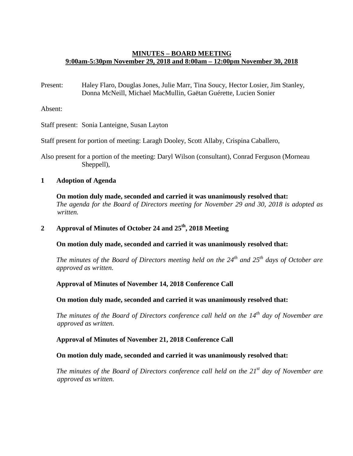# **MINUTES – BOARD MEETING 9:00am-5:30pm November 29, 2018 and 8:00am – 12:00pm November 30, 2018**

Present: Haley Flaro, Douglas Jones, Julie Marr, Tina Soucy, Hector Losier, Jim Stanley, Donna McNeill, Michael MacMullin, Gaëtan Guérette, Lucien Sonier

Absent:

Staff present: Sonia Lanteigne, Susan Layton

Staff present for portion of meeting: Laragh Dooley, Scott Allaby, Crispina Caballero,

Also present for a portion of the meeting: Daryl Wilson (consultant), Conrad Ferguson (Morneau Sheppell),

## **1 Adoption of Agenda**

**On motion duly made, seconded and carried it was unanimously resolved that:** *The agenda for the Board of Directors meeting for November 29 and 30, 2018 is adopted as written.*

# **2 Approval of Minutes of October 24 and 25th, 2018 Meeting**

**On motion duly made, seconded and carried it was unanimously resolved that:**

*The minutes of the Board of Directors meeting held on the 24th and 25th days of October are approved as written.*

### **Approval of Minutes of November 14, 2018 Conference Call**

### **On motion duly made, seconded and carried it was unanimously resolved that:**

*The minutes of the Board of Directors conference call held on the 14th day of November are approved as written.*

### **Approval of Minutes of November 21, 2018 Conference Call**

### **On motion duly made, seconded and carried it was unanimously resolved that:**

*The minutes of the Board of Directors conference call held on the 21st day of November are approved as written.*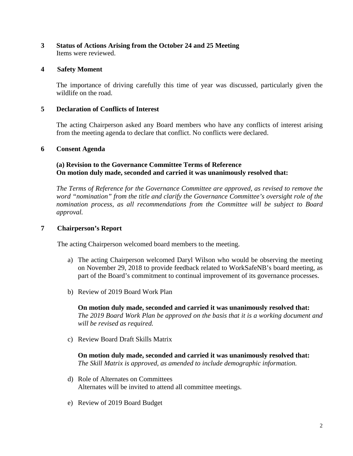# **3 Status of Actions Arising from the October 24 and 25 Meeting** Items were reviewed.

# **4 Safety Moment**

The importance of driving carefully this time of year was discussed, particularly given the wildlife on the road.

## **5 Declaration of Conflicts of Interest**

The acting Chairperson asked any Board members who have any conflicts of interest arising from the meeting agenda to declare that conflict. No conflicts were declared.

### **6 Consent Agenda**

## **(a) Revision to the Governance Committee Terms of Reference On motion duly made, seconded and carried it was unanimously resolved that:**

*The Terms of Reference for the Governance Committee are approved, as revised to remove the word "nomination" from the title and clarify the Governance Committee's oversight role of the nomination process, as all recommendations from the Committee will be subject to Board approval.*

## **7 Chairperson's Report**

The acting Chairperson welcomed board members to the meeting.

- a) The acting Chairperson welcomed Daryl Wilson who would be observing the meeting on November 29, 2018 to provide feedback related to WorkSafeNB's board meeting, as part of the Board's commitment to continual improvement of its governance processes.
- b) Review of 2019 Board Work Plan

**On motion duly made, seconded and carried it was unanimously resolved that:** *The 2019 Board Work Plan be approved on the basis that it is a working document and will be revised as required.* 

c) Review Board Draft Skills Matrix

**On motion duly made, seconded and carried it was unanimously resolved that:** *The Skill Matrix is approved, as amended to include demographic information.* 

- d) Role of Alternates on Committees Alternates will be invited to attend all committee meetings.
- e) Review of 2019 Board Budget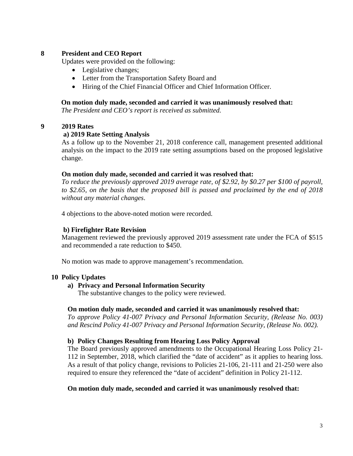# **8 President and CEO Report**

Updates were provided on the following:

- Legislative changes;
- Letter from the Transportation Safety Board and
- Hiring of the Chief Financial Officer and Chief Information Officer.

### **On motion duly made, seconded and carried it was unanimously resolved that:**

*The President and CEO's report is received as submitted.*

### **9 2019 Rates**

### **a) 2019 Rate Setting Analysis**

As a follow up to the November 21, 2018 conference call, management presented additional analysis on the impact to the 2019 rate setting assumptions based on the proposed legislative change.

### **On motion duly made, seconded and carried it was resolved that:**

*To reduce the previously approved 2019 average rate, of \$2.92, by \$0.27 per \$100 of payroll, to \$2.65, on the basis that the proposed bill is passed and proclaimed by the end of 2018 without any material changes*.

4 objections to the above-noted motion were recorded.

### **b) Firefighter Rate Revision**

Management reviewed the previously approved 2019 assessment rate under the FCA of \$515 and recommended a rate reduction to \$450.

No motion was made to approve management's recommendation.

### **10 Policy Updates**

### **a) Privacy and Personal Information Security**

The substantive changes to the policy were reviewed.

### **On motion duly made, seconded and carried it was unanimously resolved that:**

*To approve Policy 41-007 Privacy and Personal Information Security, (Release No. 003) and Rescind Policy 41-007 Privacy and Personal Information Security, (Release No. 002).*

### **b) Policy Changes Resulting from Hearing Loss Policy Approval**

The Board previously approved amendments to the Occupational Hearing Loss Policy 21- 112 in September, 2018, which clarified the "date of accident" as it applies to hearing loss. As a result of that policy change, revisions to Policies 21-106, 21-111 and 21-250 were also required to ensure they referenced the "date of accident" definition in Policy 21-112.

### **On motion duly made, seconded and carried it was unanimously resolved that:**